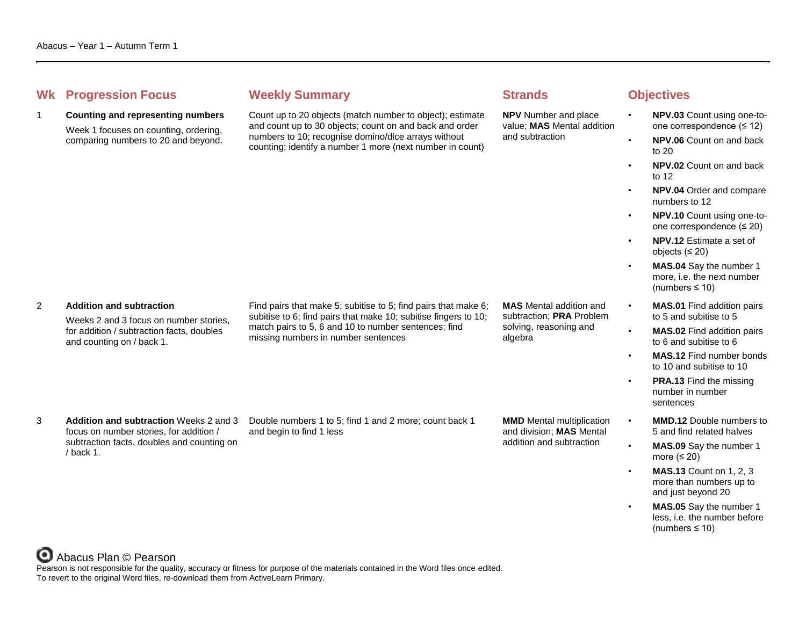# **Whenever Summary Weekly Summary Strands Objectives**

1 **Counting and representing numbers**

Week 1 focuses on counting, ordering, comparing numbers to 20 and beyond.

Count up to 20 objects (match number to object); estimate and count up to 30 objects; count on and back and order numbers to 10; recognise domino/dice arrays without counting; identify a number 1 more (next number in count)

**NPV** Number and place value; **MAS** Mental addition and subtraction

- **NPV.03** Count using one-toone correspondence (≤ 12)
- **NPV.06** Count on and back to 20
- **NPV.02** Count on and back to 12
- **NPV.04** Order and compare numbers to 12
- **NPV.10** Count using one-toone correspondence (≤ 20)
- **NPV.12** Estimate a set of objects (≤ 20)
- **MAS.04** Say the number 1 more, i.e. the next number (numbers ≤ 10)
- **MAS.01** Find addition pairs to 5 and subitise to 5
- **MAS.02** Find addition pairs to 6 and subitise to 6
- **MAS.12** Find number bonds to 10 and subitise to 10
- **PRA.13** Find the missing number in number sentences
- **MMD.12** Double numbers to 5 and find related halves
- **MAS.09** Say the number 1 more  $(≤ 20)$
- **MAS.13** Count on 1, 2, 3 more than numbers up to and just beyond 20
- **MAS.05** Say the number 1 less, i.e. the number before (numbers ≤ 10)

### 2 **Addition and subtraction**

Weeks 2 and 3 focus on number stories, for addition / subtraction facts, doubles and counting on / back 1.

Find pairs that make 5; subitise to 5; find pairs that make 6; subitise to 6; find pairs that make 10; subitise fingers to 10; match pairs to 5, 6 and 10 to number sentences; find missing numbers in number sentences

subtraction; **PRA** Problem solving, reasoning and algebra

**MAS** Mental addition and

3 **Addition and subtraction** Weeks 2 and 3 focus on number stories, for addition / subtraction facts, doubles and counting on / back 1.

Double numbers 1 to 5; find 1 and 2 more; count back 1 and begin to find 1 less

**MMD** Mental multiplication and division; **MAS** Mental addition and subtraction



Pearson is not responsible for the quality, accuracy or fitness for purpose of the materials contained in the Word files once edited. To revert to the original Word files, re-download them from ActiveLearn Primary.